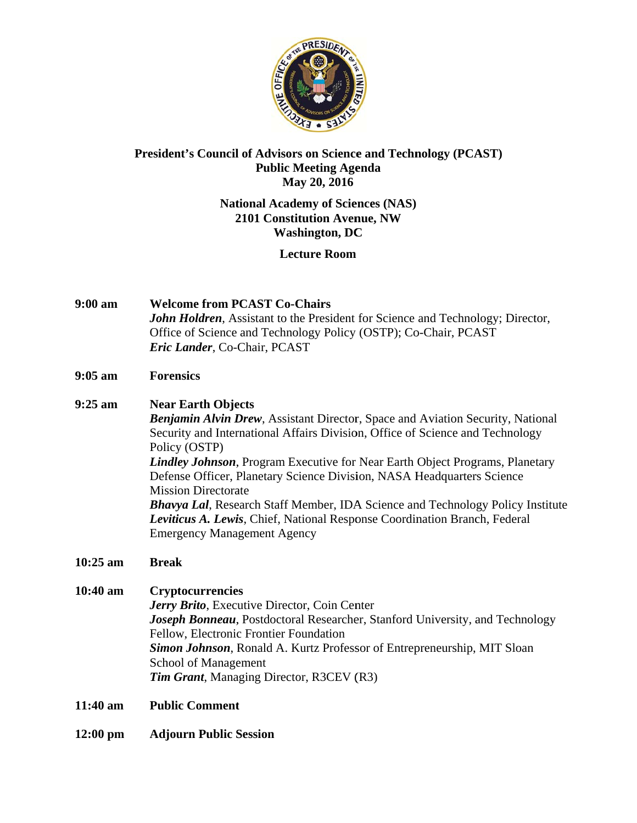

# President's Council of Advisors on Science and Technology (PCAST) **Public Meeting Agenda** May 20, 2016

# **National Academy of Sciences (NAS) 2101 Constitution Avenue, NW Washington, DC**

# **Lecture Room**

 $9:00 \text{ am}$ **Welcome from PCAST Co-Chairs John Holdren, Assistant to the President for Science and Technology; Director,** Office of Science and Technology Policy (OSTP); Co-Chair, PCAST Eric Lander, Co-Chair, PCAST

#### $9:05 \text{ am}$ **Forensics**

 $9:25 \text{ am}$ **Near Earth Objects Benjamin Alvin Drew, Assistant Director, Space and Aviation Security, National** Security and International Affairs Division, Office of Science and Technology Policy (OSTP) **Lindley Johnson**, Program Executive for Near Earth Object Programs, Planetary Defense Officer, Planetary Science Division, NASA Headquarters Science **Mission Directorate Bhavya Lal, Research Staff Member, IDA Science and Technology Policy Institute** Leviticus A. Lewis, Chief, National Response Coordination Branch, Federal **Emergency Management Agency** 

#### $10:25$  am **Break**

- $10:40 \text{ am}$ **Cryptocurrencies Jerry Brito**, Executive Director, Coin Center **Joseph Bonneau**, Postdoctoral Researcher, Stanford University, and Technology Fellow, Electronic Frontier Foundation Simon Johnson, Ronald A. Kurtz Professor of Entrepreneurship, MIT Sloan School of Management **Tim Grant, Managing Director, R3CEV (R3)**
- $11:40 \text{ am}$ **Public Comment**
- **Adjourn Public Session**  $12:00 \text{ pm}$